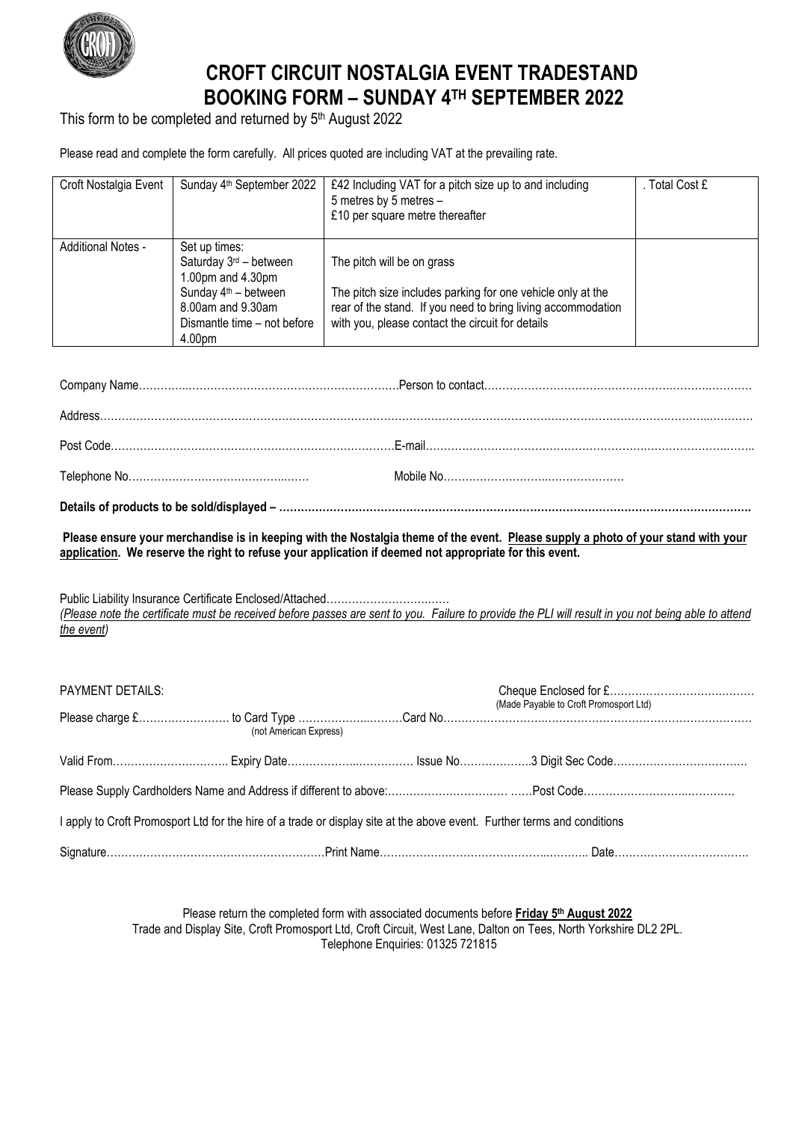

## **CROFT CIRCUIT NOSTALGIA EVENT TRADESTAND BOOKING FORM – SUNDAY 4TH SEPTEMBER 2022**

This form to be completed and returned by 5<sup>th</sup> August 2022

Please read and complete the form carefully. All prices quoted are including VAT at the prevailing rate.

| Croft Nostalgia Event | Sunday 4 <sup>th</sup> September 2022                                                                                                                            | £42 Including VAT for a pitch size up to and including<br>5 metres by 5 metres -<br>£10 per square metre thereafter                                                                                           | Total Cost £ |
|-----------------------|------------------------------------------------------------------------------------------------------------------------------------------------------------------|---------------------------------------------------------------------------------------------------------------------------------------------------------------------------------------------------------------|--------------|
| Additional Notes -    | Set up times:<br>Saturday 3 <sup>rd</sup> - between<br>1.00pm and 4.30pm<br>Sunday $4th$ – between<br>8.00am and 9.30am<br>Dismantle time - not before<br>4.00pm | The pitch will be on grass<br>The pitch size includes parking for one vehicle only at the<br>rear of the stand. If you need to bring living accommodation<br>with you, please contact the circuit for details |              |

**Details of products to be sold/displayed – ………………………………………………………………………………………………………………….**

**Please ensure your merchandise is in keeping with the Nostalgia theme of the event. Please supply a photo of your stand with your application. We reserve the right to refuse your application if deemed not appropriate for this event.**

Public Liability Insurance Certificate Enclosed/Attached……………………….…… *(Please note the certificate must be received before passes are sent to you. Failure to provide the PLI will result in you not being able to attend the event)*

| <b>PAYMENT DETAILS:</b> |                                                                                                                          |  |                                        |  |
|-------------------------|--------------------------------------------------------------------------------------------------------------------------|--|----------------------------------------|--|
|                         |                                                                                                                          |  | (Made Payable to Croft Promosport Ltd) |  |
|                         | (not American Express)                                                                                                   |  |                                        |  |
|                         |                                                                                                                          |  |                                        |  |
|                         |                                                                                                                          |  |                                        |  |
|                         | I apply to Croft Promosport Ltd for the hire of a trade or display site at the above event. Further terms and conditions |  |                                        |  |
|                         |                                                                                                                          |  |                                        |  |

Please return the completed form with associated documents before **Friday 5th August 2022** Trade and Display Site, Croft Promosport Ltd, Croft Circuit, West Lane, Dalton on Tees, North Yorkshire DL2 2PL. Telephone Enquiries: 01325 721815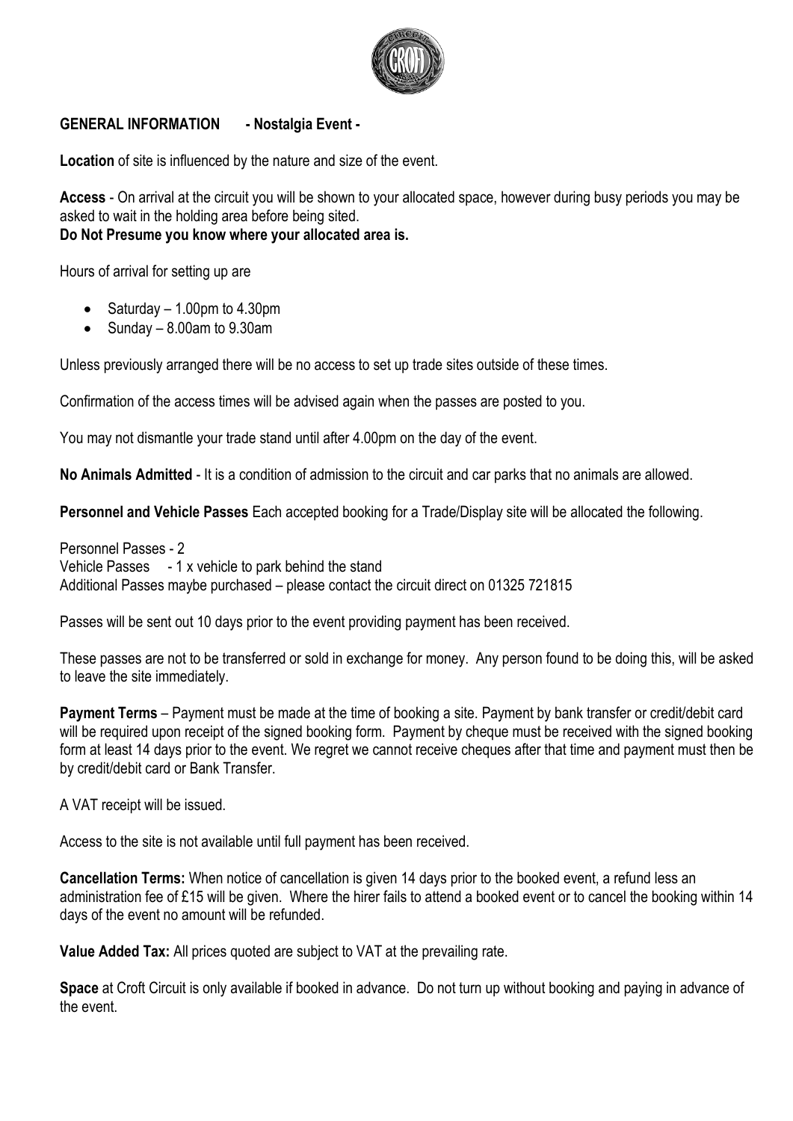

## **GENERAL INFORMATION - Nostalgia Event -**

**Location** of site is influenced by the nature and size of the event.

**Access** - On arrival at the circuit you will be shown to your allocated space, however during busy periods you may be asked to wait in the holding area before being sited. **Do Not Presume you know where your allocated area is.**

Hours of arrival for setting up are

- Saturday  $-1.00$ pm to 4.30pm
- Sunday 8.00am to 9.30am

Unless previously arranged there will be no access to set up trade sites outside of these times.

Confirmation of the access times will be advised again when the passes are posted to you.

You may not dismantle your trade stand until after 4.00pm on the day of the event.

**No Animals Admitted** - It is a condition of admission to the circuit and car parks that no animals are allowed.

**Personnel and Vehicle Passes** Each accepted booking for a Trade/Display site will be allocated the following.

Personnel Passes - 2 Vehicle Passes - 1 x vehicle to park behind the stand Additional Passes maybe purchased – please contact the circuit direct on 01325 721815

Passes will be sent out 10 days prior to the event providing payment has been received.

These passes are not to be transferred or sold in exchange for money. Any person found to be doing this, will be asked to leave the site immediately.

**Payment Terms** – Payment must be made at the time of booking a site. Payment by bank transfer or credit/debit card will be required upon receipt of the signed booking form. Payment by cheque must be received with the signed booking form at least 14 days prior to the event. We regret we cannot receive cheques after that time and payment must then be by credit/debit card or Bank Transfer.

A VAT receipt will be issued.

Access to the site is not available until full payment has been received.

**Cancellation Terms:** When notice of cancellation is given 14 days prior to the booked event, a refund less an administration fee of £15 will be given. Where the hirer fails to attend a booked event or to cancel the booking within 14 days of the event no amount will be refunded.

**Value Added Tax:** All prices quoted are subject to VAT at the prevailing rate.

**Space** at Croft Circuit is only available if booked in advance. Do not turn up without booking and paying in advance of the event.